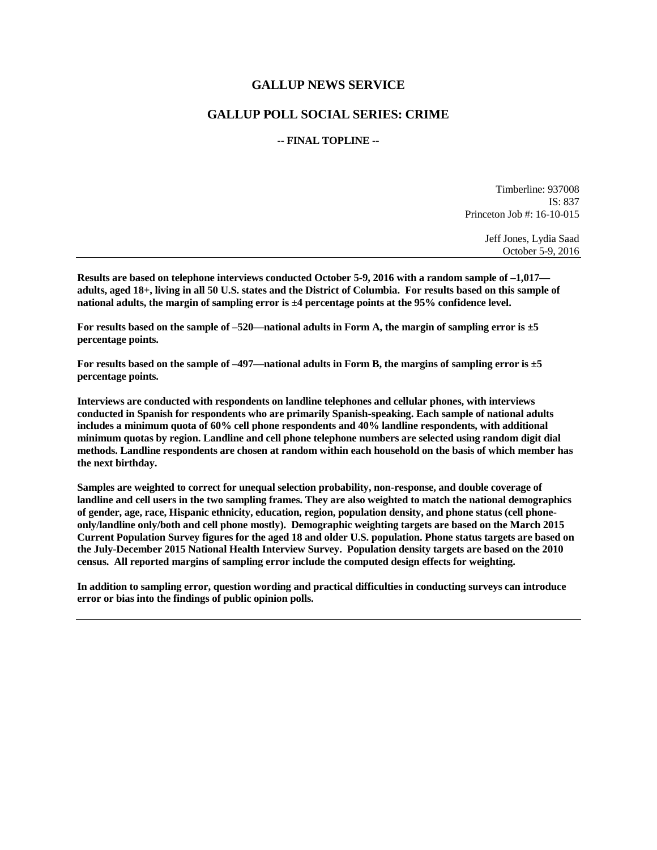### **GALLUP NEWS SERVICE**

## **GALLUP POLL SOCIAL SERIES: CRIME**

### **-- FINAL TOPLINE --**

Timberline: 937008 IS: 837 Princeton Job #: 16-10-015

> Jeff Jones, Lydia Saad October 5-9, 2016

**Results are based on telephone interviews conducted October 5-9, 2016 with a random sample of –1,017 adults, aged 18+, living in all 50 U.S. states and the District of Columbia. For results based on this sample of national adults, the margin of sampling error is ±4 percentage points at the 95% confidence level.** 

**For results based on the sample of –520—national adults in Form A, the margin of sampling error is ±5 percentage points.**

**For results based on the sample of –497—national adults in Form B, the margins of sampling error is ±5 percentage points.**

**Interviews are conducted with respondents on landline telephones and cellular phones, with interviews conducted in Spanish for respondents who are primarily Spanish-speaking. Each sample of national adults includes a minimum quota of 60% cell phone respondents and 40% landline respondents, with additional minimum quotas by region. Landline and cell phone telephone numbers are selected using random digit dial methods. Landline respondents are chosen at random within each household on the basis of which member has the next birthday.**

**Samples are weighted to correct for unequal selection probability, non-response, and double coverage of landline and cell users in the two sampling frames. They are also weighted to match the national demographics of gender, age, race, Hispanic ethnicity, education, region, population density, and phone status (cell phoneonly/landline only/both and cell phone mostly). Demographic weighting targets are based on the March 2015 Current Population Survey figures for the aged 18 and older U.S. population. Phone status targets are based on the July-December 2015 National Health Interview Survey. Population density targets are based on the 2010 census. All reported margins of sampling error include the computed design effects for weighting.** 

**In addition to sampling error, question wording and practical difficulties in conducting surveys can introduce error or bias into the findings of public opinion polls.**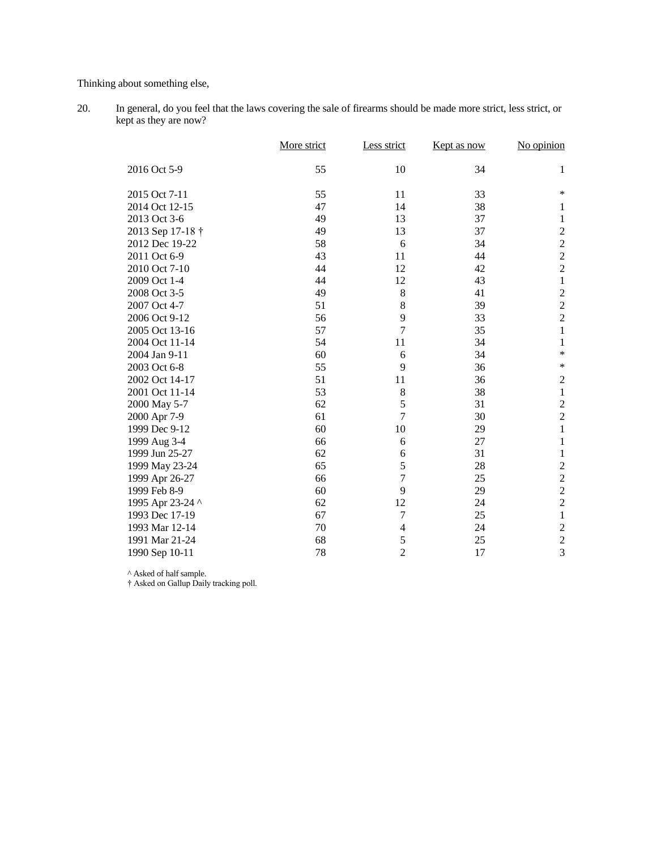Thinking about something else,

20. In general, do you feel that the laws covering the sale of firearms should be made more strict, less strict, or kept as they are now?

|                  | More strict | Less strict    | Kept as now | No opinion              |
|------------------|-------------|----------------|-------------|-------------------------|
| 2016 Oct 5-9     | 55          | 10             | 34          | 1                       |
| 2015 Oct 7-11    | 55          | 11             | 33          | $\ast$                  |
| 2014 Oct 12-15   | 47          | 14             | 38          | 1                       |
| 2013 Oct 3-6     | 49          | 13             | 37          | 1                       |
| 2013 Sep 17-18 † | 49          | 13             | 37          | $\overline{\mathbf{c}}$ |
| 2012 Dec 19-22   | 58          | 6              | 34          | $\overline{c}$          |
| 2011 Oct 6-9     | 43          | 11             | 44          |                         |
| 2010 Oct 7-10    | 44          | 12             | 42          | $\frac{2}{2}$           |
| 2009 Oct 1-4     | 44          | 12             | 43          | $\mathbf 1$             |
| 2008 Oct 3-5     | 49          | 8              | 41          | $\overline{\mathbf{c}}$ |
| 2007 Oct 4-7     | 51          | 8              | 39          | $\overline{c}$          |
| 2006 Oct 9-12    | 56          | 9              | 33          | $\overline{c}$          |
| 2005 Oct 13-16   | 57          | $\overline{7}$ | 35          | $\mathbf{1}$            |
| 2004 Oct 11-14   | 54          | 11             | 34          | $\mathbf{1}$            |
| 2004 Jan 9-11    | 60          | 6              | 34          | $\ast$                  |
| 2003 Oct 6-8     | 55          | 9              | 36          | $\ast$                  |
| 2002 Oct 14-17   | 51          | 11             | 36          | $\sqrt{2}$              |
| 2001 Oct 11-14   | 53          | $8\,$          | 38          | $\mathbf{1}$            |
| 2000 May 5-7     | 62          | 5              | 31          |                         |
| 2000 Apr 7-9     | 61          | $\overline{7}$ | 30          | $\frac{2}{2}$           |
| 1999 Dec 9-12    | 60          | 10             | 29          | $\mathbf{1}$            |
| 1999 Aug 3-4     | 66          | 6              | 27          | $\mathbf{1}$            |
| 1999 Jun 25-27   | 62          | 6              | 31          | $\mathbf{1}$            |
| 1999 May 23-24   | 65          | 5              | 28          |                         |
| 1999 Apr 26-27   | 66          | $\tau$         | 25          | $\frac{2}{2}$           |
| 1999 Feb 8-9     | 60          | 9              | 29          | $\overline{c}$          |
| 1995 Apr 23-24 ^ | 62          | 12             | 24          | $\overline{c}$          |
| 1993 Dec 17-19   | 67          | $\tau$         | 25          | $\,1$                   |
| 1993 Mar 12-14   | 70          | 4              | 24          | $\overline{\mathbf{c}}$ |
| 1991 Mar 21-24   | 68          | 5              | 25          | $\overline{c}$          |
| 1990 Sep 10-11   | 78          | $\overline{2}$ | 17          | $\overline{3}$          |

^ Asked of half sample.

† Asked on Gallup Daily tracking poll.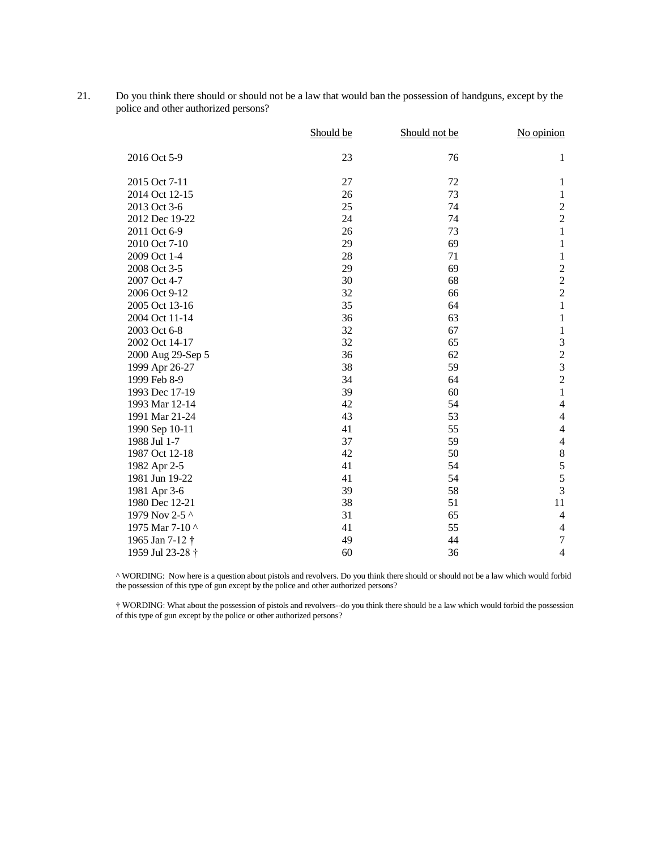21. Do you think there should or should not be a law that would ban the possession of handguns, except by the police and other authorized persons?

|                             | Should be | Should not be | No opinion       |
|-----------------------------|-----------|---------------|------------------|
| 2016 Oct 5-9                | 23        | 76            | $\mathbf{1}$     |
| 2015 Oct 7-11               | 27        | 72            | 1                |
| 2014 Oct 12-15              | 26        | 73            | $\mathbf{1}$     |
| 2013 Oct 3-6                | 25        | 74            | $\boldsymbol{2}$ |
| 2012 Dec 19-22              | 24        | 74            | $\boldsymbol{2}$ |
| 2011 Oct 6-9                | 26        | 73            | $\mathbf{1}$     |
| 2010 Oct 7-10               | 29        | 69            | $\mathbf{1}$     |
| 2009 Oct 1-4                | 28        | 71            | $\,1\,$          |
| 2008 Oct 3-5                | 29        | 69            | $\sqrt{2}$       |
| 2007 Oct 4-7                | 30        | 68            | $\frac{2}{2}$    |
| 2006 Oct 9-12               | 32        | 66            |                  |
| 2005 Oct 13-16              | 35        | 64            | $\mathbf{1}$     |
| 2004 Oct 11-14              | 36        | 63            | 1                |
| 2003 Oct 6-8                | 32        | 67            | $\mathbf{1}$     |
| 2002 Oct 14-17              | 32        | 65            | $\mathfrak{Z}$   |
| 2000 Aug 29-Sep 5           | 36        | 62            | $\sqrt{2}$       |
| 1999 Apr 26-27              | 38        | 59            | $\overline{3}$   |
| 1999 Feb 8-9                | 34        | 64            | $\overline{c}$   |
| 1993 Dec 17-19              | 39        | 60            | $\mathbf{1}$     |
| 1993 Mar 12-14              | 42        | 54            | $\overline{4}$   |
| 1991 Mar 21-24              | 43        | 53            | $\overline{4}$   |
| 1990 Sep 10-11              | 41        | 55            | $\overline{4}$   |
| 1988 Jul 1-7                | 37        | 59            | $\overline{4}$   |
| 1987 Oct 12-18              | 42        | 50            | $\,8\,$          |
| 1982 Apr 2-5                | 41        | 54            | $\sqrt{5}$       |
| 1981 Jun 19-22              | 41        | 54            | 5                |
| 1981 Apr 3-6                | 39        | 58            | 3                |
| 1980 Dec 12-21              | 38        | 51            | 11               |
| 1979 Nov 2-5 ^              | 31        | 65            | $\overline{4}$   |
| 1975 Mar 7-10 ^             | 41        | 55            | $\overline{4}$   |
| 1965 Jan 7-12 †             | 49        | 44            | $\overline{7}$   |
| 1959 Jul 23-28 <sup>+</sup> | 60        | 36            | $\overline{4}$   |

^ WORDING: Now here is a question about pistols and revolvers. Do you think there should or should not be a law which would forbid the possession of this type of gun except by the police and other authorized persons?

† WORDING: What about the possession of pistols and revolvers--do you think there should be a law which would forbid the possession of this type of gun except by the police or other authorized persons?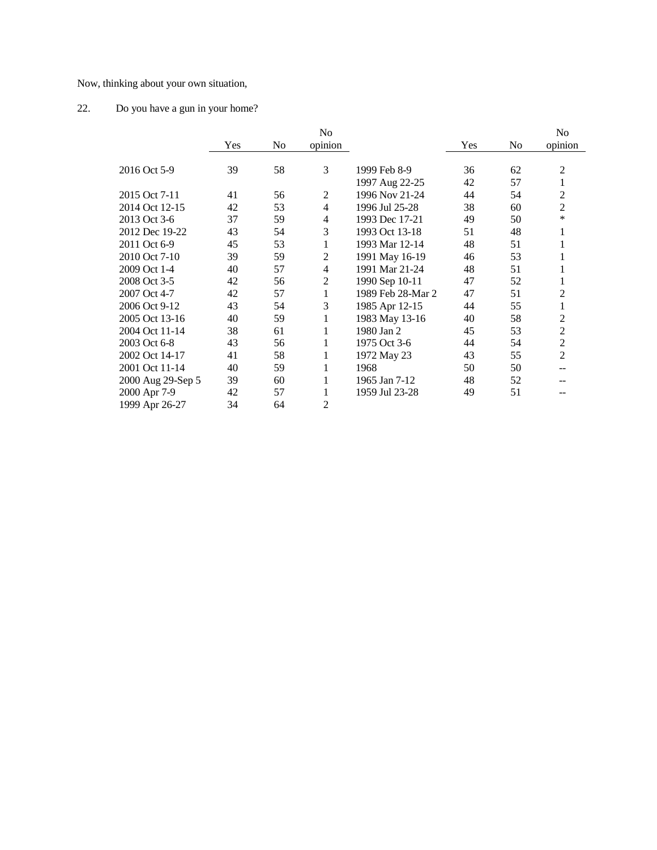Now, thinking about your own situation,

# 22. Do you have a gun in your home?

|                   |     |                | N <sub>0</sub> |                   |     |                | N <sub>0</sub> |
|-------------------|-----|----------------|----------------|-------------------|-----|----------------|----------------|
|                   | Yes | N <sub>0</sub> | opinion        |                   | Yes | N <sub>0</sub> | opinion        |
| 2016 Oct 5-9      | 39  | 58             | 3              | 1999 Feb 8-9      | 36  | 62             | 2              |
|                   |     |                |                | 1997 Aug 22-25    | 42  | 57             | 1              |
| 2015 Oct 7-11     | 41  | 56             | 2              | 1996 Nov 21-24    | 44  | 54             | 2              |
| 2014 Oct 12-15    | 42  | 53             | 4              | 1996 Jul 25-28    | 38  | 60             | 2              |
| 2013 Oct 3-6      | 37  | 59             | 4              | 1993 Dec 17-21    | 49  | 50             | *              |
| 2012 Dec 19-22    | 43  | 54             | 3              | 1993 Oct 13-18    | 51  | 48             | 1              |
| 2011 Oct 6-9      | 45  | 53             | 1              | 1993 Mar 12-14    | 48  | 51             |                |
| 2010 Oct 7-10     | 39  | 59             | 2              | 1991 May 16-19    | 46  | 53             | 1              |
| 2009 Oct 1-4      | 40  | 57             | 4              | 1991 Mar 21-24    | 48  | 51             | 1              |
| 2008 Oct 3-5      | 42  | 56             | 2              | 1990 Sep 10-11    | 47  | 52             | 1              |
| 2007 Oct 4-7      | 42  | 57             | 1              | 1989 Feb 28-Mar 2 | 47  | 51             | 2              |
| 2006 Oct 9-12     | 43  | 54             | 3              | 1985 Apr 12-15    | 44  | 55             | 1              |
| 2005 Oct 13-16    | 40  | 59             | 1              | 1983 May 13-16    | 40  | 58             | 2              |
| 2004 Oct 11-14    | 38  | 61             | 1              | 1980 Jan 2        | 45  | 53             | 2              |
| 2003 Oct 6-8      | 43  | 56             | 1              | 1975 Oct 3-6      | 44  | 54             | 2              |
| 2002 Oct 14-17    | 41  | 58             | 1              | 1972 May 23       | 43  | 55             | 2              |
| 2001 Oct 11-14    | 40  | 59             | 1              | 1968              | 50  | 50             |                |
| 2000 Aug 29-Sep 5 | 39  | 60             |                | 1965 Jan 7-12     | 48  | 52             |                |
| 2000 Apr 7-9      | 42  | 57             | 1              | 1959 Jul 23-28    | 49  | 51             | --             |
| 1999 Apr 26-27    | 34  | 64             | 2              |                   |     |                |                |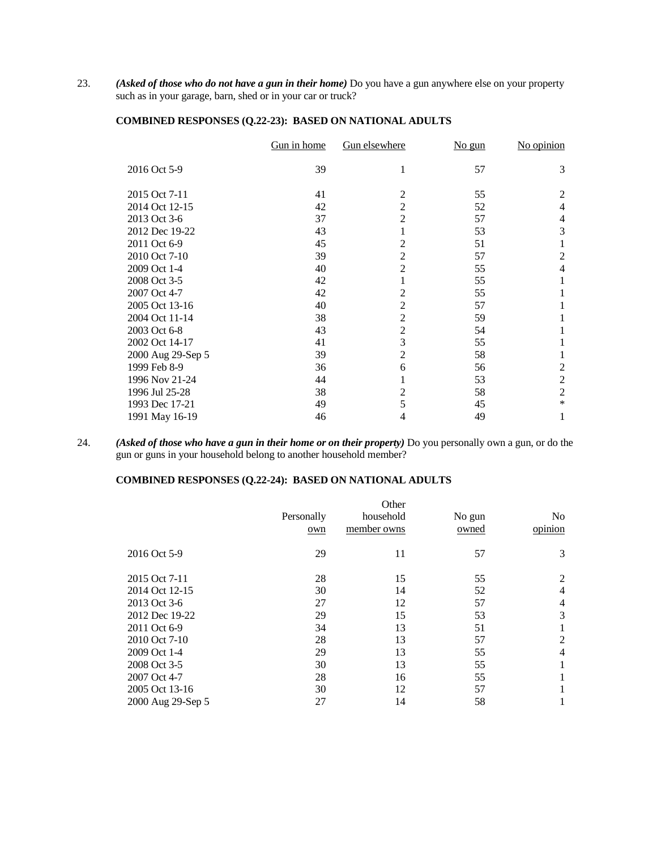23. *(Asked of those who do not have a gun in their home)* Do you have a gun anywhere else on your property such as in your garage, barn, shed or in your car or truck?

|                   | Gun in home | Gun elsewhere  | $No$ gun | No opinion     |
|-------------------|-------------|----------------|----------|----------------|
| 2016 Oct 5-9      | 39          | 1              | 57       | 3              |
| 2015 Oct 7-11     | 41          | $\overline{2}$ | 55       | $\overline{2}$ |
| 2014 Oct 12-15    | 42          | $\overline{c}$ | 52       | 4              |
| 2013 Oct 3-6      | 37          | $\overline{2}$ | 57       | 4              |
| 2012 Dec 19-22    | 43          | 1              | 53       | 3              |
| 2011 Oct 6-9      | 45          | $\overline{2}$ | 51       | 1              |
| 2010 Oct 7-10     | 39          | $\overline{2}$ | 57       | $\overline{2}$ |
| 2009 Oct 1-4      | 40          | $\overline{2}$ | 55       | 4              |
| 2008 Oct 3-5      | 42          | 1              | 55       | 1              |
| 2007 Oct 4-7      | 42          | $\overline{2}$ | 55       | 1              |
| 2005 Oct 13-16    | 40          | $\overline{2}$ | 57       |                |
| 2004 Oct 11-14    | 38          | $\overline{2}$ | 59       |                |
| 2003 Oct 6-8      | 43          | $\overline{2}$ | 54       | 1              |
| 2002 Oct 14-17    | 41          | 3              | 55       | 1              |
| 2000 Aug 29-Sep 5 | 39          | $\overline{2}$ | 58       | 1              |
| 1999 Feb 8-9      | 36          | 6              | 56       | 2              |
| 1996 Nov 21-24    | 44          | 1              | 53       | $\overline{2}$ |
| 1996 Jul 25-28    | 38          | $\overline{c}$ | 58       | $\overline{2}$ |
| 1993 Dec 17-21    | 49          | 5              | 45       | *              |
| 1991 May 16-19    | 46          | 4              | 49       | 1              |

### **COMBINED RESPONSES (Q.22-23): BASED ON NATIONAL ADULTS**

24. *(Asked of those who have a gun in their home or on their property)* Do you personally own a gun, or do the gun or guns in your household belong to another household member?

### **COMBINED RESPONSES (Q.22-24): BASED ON NATIONAL ADULTS**

|                   | Personally<br>own | Other<br>household<br>member owns | No gun<br>owned | No.<br>opinion |
|-------------------|-------------------|-----------------------------------|-----------------|----------------|
| 2016 Oct 5-9      | 29                | 11                                | 57              | 3              |
| 2015 Oct 7-11     | 28                | 15                                | 55              | 2              |
| 2014 Oct 12-15    | 30                | 14                                | 52              | $\overline{4}$ |
| 2013 Oct 3-6      | 27                | 12                                | 57              | 4              |
| 2012 Dec 19-22    | 29                | 15                                | 53              | 3              |
| 2011 Oct 6-9      | 34                | 13                                | 51              |                |
| 2010 Oct 7-10     | 28                | 13                                | 57              | 2              |
| 2009 Oct 1-4      | 29                | 13                                | 55              | 4              |
| 2008 Oct 3-5      | 30                | 13                                | 55              |                |
| 2007 Oct 4-7      | 28                | 16                                | 55              |                |
| 2005 Oct 13-16    | 30                | 12                                | 57              |                |
| 2000 Aug 29-Sep 5 | 27                | 14                                | 58              |                |